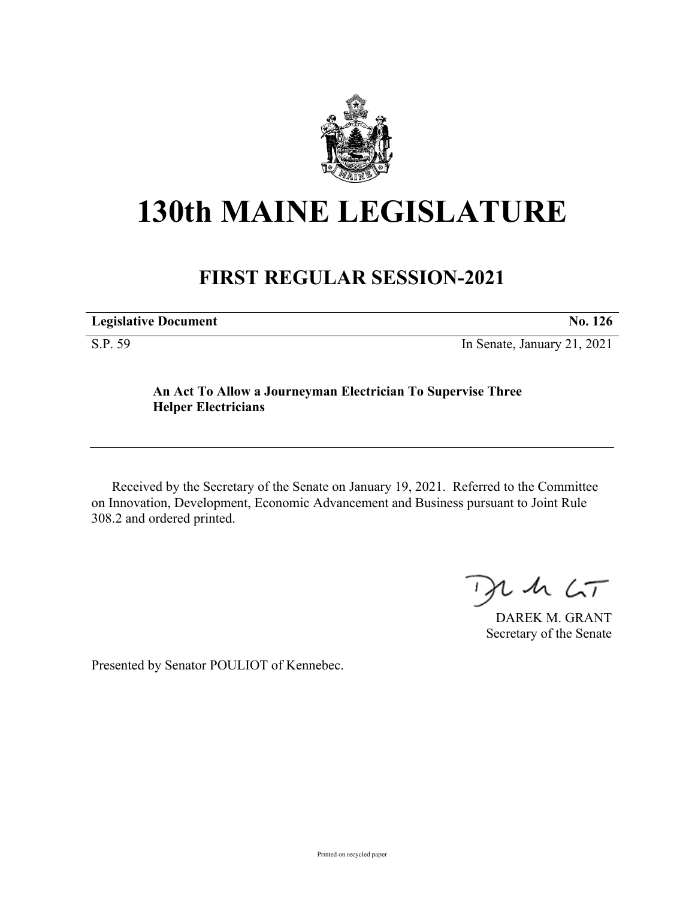

## **130th MAINE LEGISLATURE**

## **FIRST REGULAR SESSION-2021**

| <b>Legislative Document</b> | No. 126                     |
|-----------------------------|-----------------------------|
| S.P. 59                     | In Senate, January 21, 2021 |

**An Act To Allow a Journeyman Electrician To Supervise Three Helper Electricians**

Received by the Secretary of the Senate on January 19, 2021. Referred to the Committee on Innovation, Development, Economic Advancement and Business pursuant to Joint Rule 308.2 and ordered printed.

 $2.42 < T$  $\rightarrow$ 

DAREK M. GRANT Secretary of the Senate

Presented by Senator POULIOT of Kennebec.